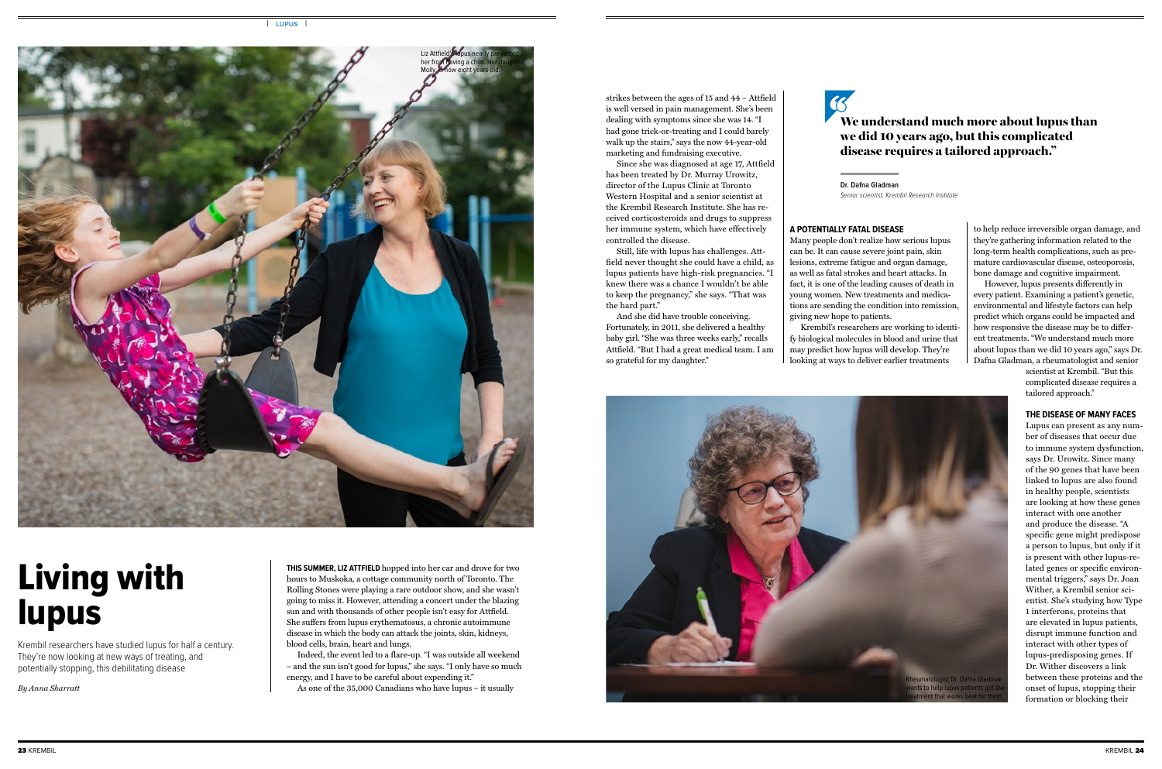# Living with lupus

Krembil researchers have studied lupus for half a century. They're now looking at new ways of treating, and potentially stopping, this debilitating disease

*By Anna Sharratt* 



**THIS SUMMER, LIZ ATTFIELD** hopped into her car and drove for two hours to Muskoka, a cottage community north of Toronto. The Rolling Stones were playing a rare outdoor show, and she wasn't going to miss it. However, attending a concert under the blazing sun and with thousands of other people isn't easy for Attfield. She suffers from lupus erythematosus, a chronic autoimmune disease in which the body can attack the joints, skin, kidneys, blood cells, brain, heart and lungs.

Indeed, the event led to a flare-up. "I was outside all weekend – and the sun isn't good for lupus," she says. "I only have so much energy, and I have to be careful about expending it."

As one of the 35,000 Canadians who have lupus – it usually

strikes between the ages of 15 and 44 – Attfield is well versed in pain management. She's been dealing with symptoms since she was 14. "I had gone trick-or-treating and I could barely walk up the stairs," says the now 44-year-old marketing and fundraising executive.

Since she was diagnosed at age 17, Attfield has been treated by Dr. Murray Urowitz, director of the Lupus Clinic at Toronto Western Hospital and a senior scientist at the Krembil Research Institute. She has received corticosteroids and drugs to suppress her immune system, which have effectively controlled the disease.

Still, life with lupus has challenges. Attfield never thought she could have a child, as lupus patients have high-risk pregnancies. "I knew there was a chance I wouldn't be able to keep the pregnancy," she says. "That was the hard part."

And she did have trouble conceiving. Fortunately, in 2011, she delivered a healthy baby girl. "She was three weeks early," recalls Attfield. "But I had a great medical team. I am so grateful for my daughter."



### We understand much more about lupus than we did 10 years ago, but this complicated disease requires a tailored approach."

**Dr. Dafna Gladman**  Senior scientist, Krembil Research Institute

#### **A POTENTIALLY FATAL DISEASE**

Many people don't realize how serious lupus can be. It can cause severe joint pain, skin lesions, extreme fatigue and organ damage, as well as fatal strokes and heart attacks. In fact, it is one of the leading causes of death in young women. New treatments and medications are sending the condition into remission, giving new hope to patients.

Krembil's researchers are working to identify biological molecules in blood and urine that may predict how lupus will develop. They're looking at ways to deliver earlier treatments

to help reduce irreversible organ damage, and they're gathering information related to the long-term health complications, such as premature cardiovascular disease, osteoporosis, bone damage and cognitive impairment.

However, lupus presents differently in every patient. Examining a patient's genetic, environmental and lifestyle factors can help predict which organs could be impacted and how responsive the disease may be to different treatments. "We understand much more about lupus than we did 10 years ago," says Dr. Dafna Gladman, a rheumatologist and senior

scientist at Krembil. "But this complicated disease requires a tailored approach."

between these proteins and the onset of lupus, stopping their formation or blocking their Lupus can present as any number of diseases that occur due to immune system dysfunction, says Dr. Urowitz. Since many of the 90 genes that have been linked to lupus are also found in healthy people, scientists are looking at how these genes interact with one another and produce the disease. "A specific gene might predispose a person to lupus, but only if it is present with other lupus-related genes or specific environmental triggers," says Dr. Joan Wither, a Krembil senior scientist. She's studying how Type 1 interferons, proteins that are elevated in lupus patients, disrupt immune function and interact with other types of lupus-predisposing genes. If Dr. Wither discovers a link

#### **THE DISEASE OF MANY FACES**